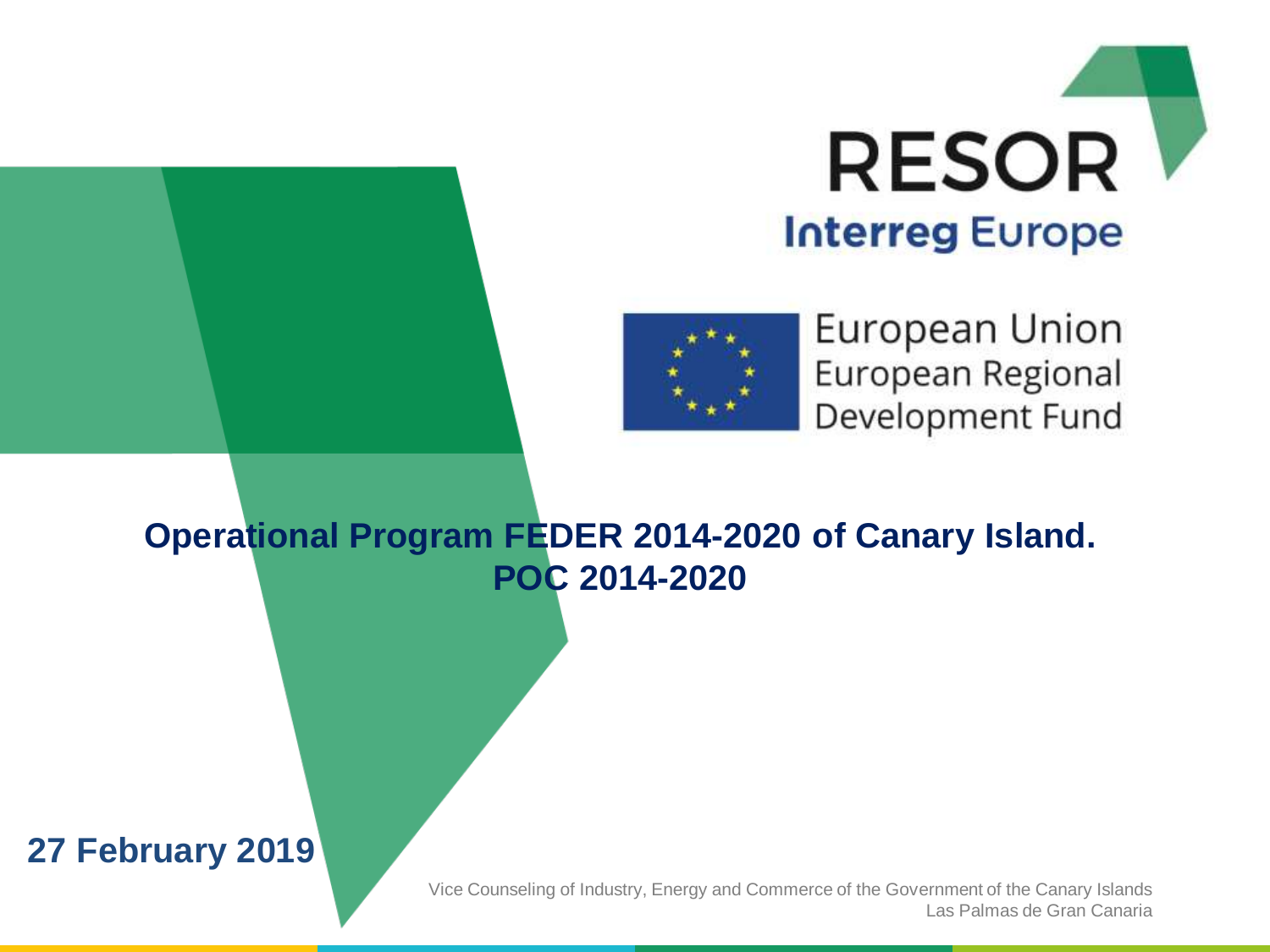



European Union European Regional Development Fund

### **Operational Program FEDER 2014-2020 of Canary Island. POC 2014-2020**

### **27 February 2019**

Vice Counseling of Industry, Energy and Commerce of the Government of the Canary Islands Las Palmas de Gran Canaria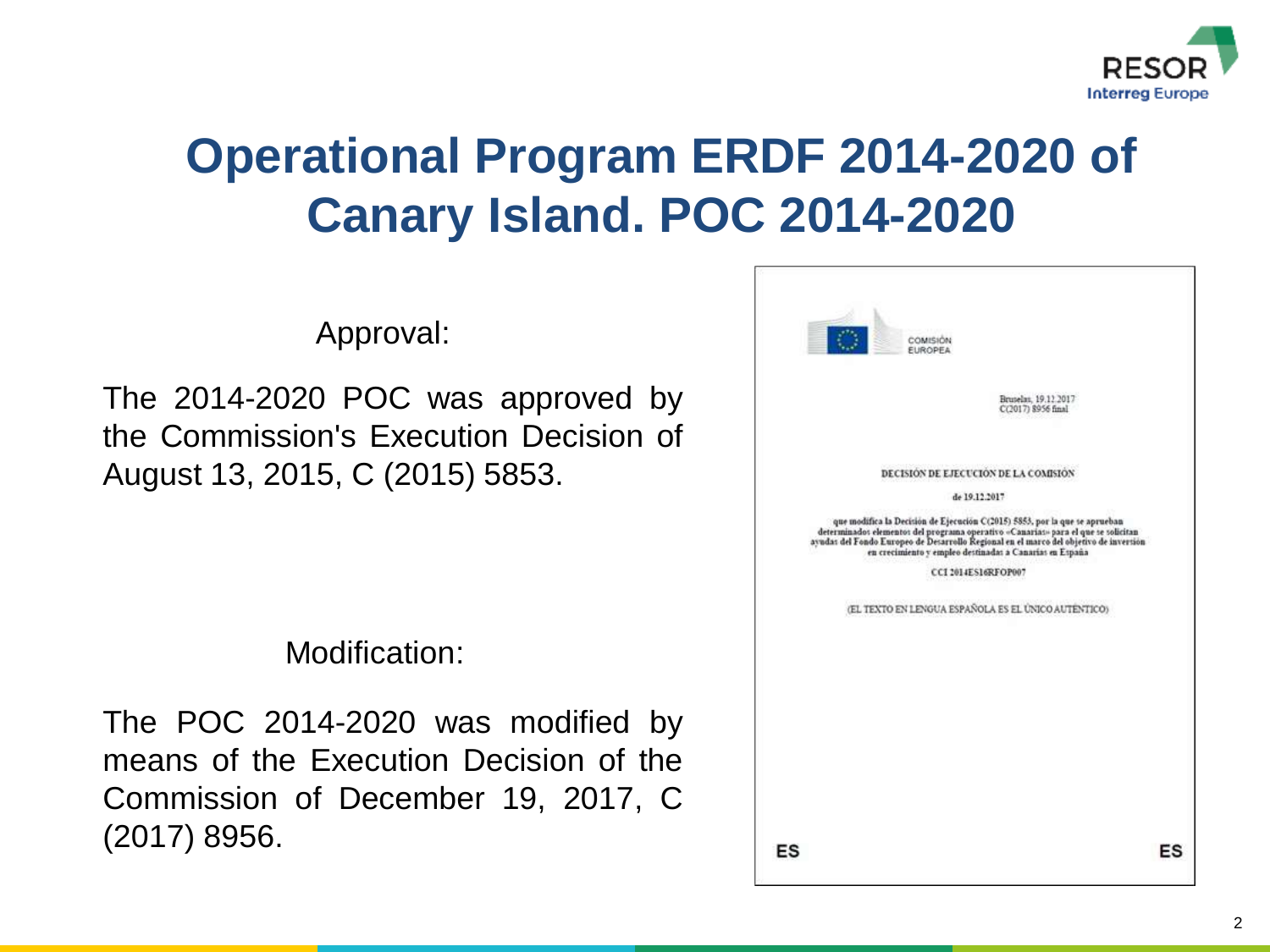

# **Operational Program ERDF 2014-2020 of Canary Island. POC 2014-2020**

Approval:

The 2014-2020 POC was approved by the Commission's Execution Decision of August 13, 2015, C (2015) 5853.

Modification:

The POC 2014-2020 was modified by means of the Execution Decision of the Commission of December 19, 2017, C (2017) 8956.

| <b>COMISION</b><br><b>EUROPEA</b>                                                                                                                                                                                                                                                                                   |    |
|---------------------------------------------------------------------------------------------------------------------------------------------------------------------------------------------------------------------------------------------------------------------------------------------------------------------|----|
| Bruselas, 19.12.2017<br>C(2017) 8956 final                                                                                                                                                                                                                                                                          |    |
| DECISION DE EJECUCIÓN DE LA COMISIÓN<br>de 19.12.2017                                                                                                                                                                                                                                                               |    |
| que modifica la Decisión de Ejecución C(2015) 5853, por la que se aprueban<br>determinados elementos del programa operativo «Canarias» para el que se solicitan<br>ayudas del Fondo Europeo de Desarrollo Regional en el marco del objetivo de inversión<br>en crecimiento y empleo destinadas a Canarías en España |    |
| CCI 2014ES16RFOP007                                                                                                                                                                                                                                                                                                 |    |
| (EL TEXTO EN LENGUA ESPAÑOLA ES EL ÚNICO AUTÉNTICO)                                                                                                                                                                                                                                                                 |    |
|                                                                                                                                                                                                                                                                                                                     |    |
|                                                                                                                                                                                                                                                                                                                     |    |
| ES                                                                                                                                                                                                                                                                                                                  | ES |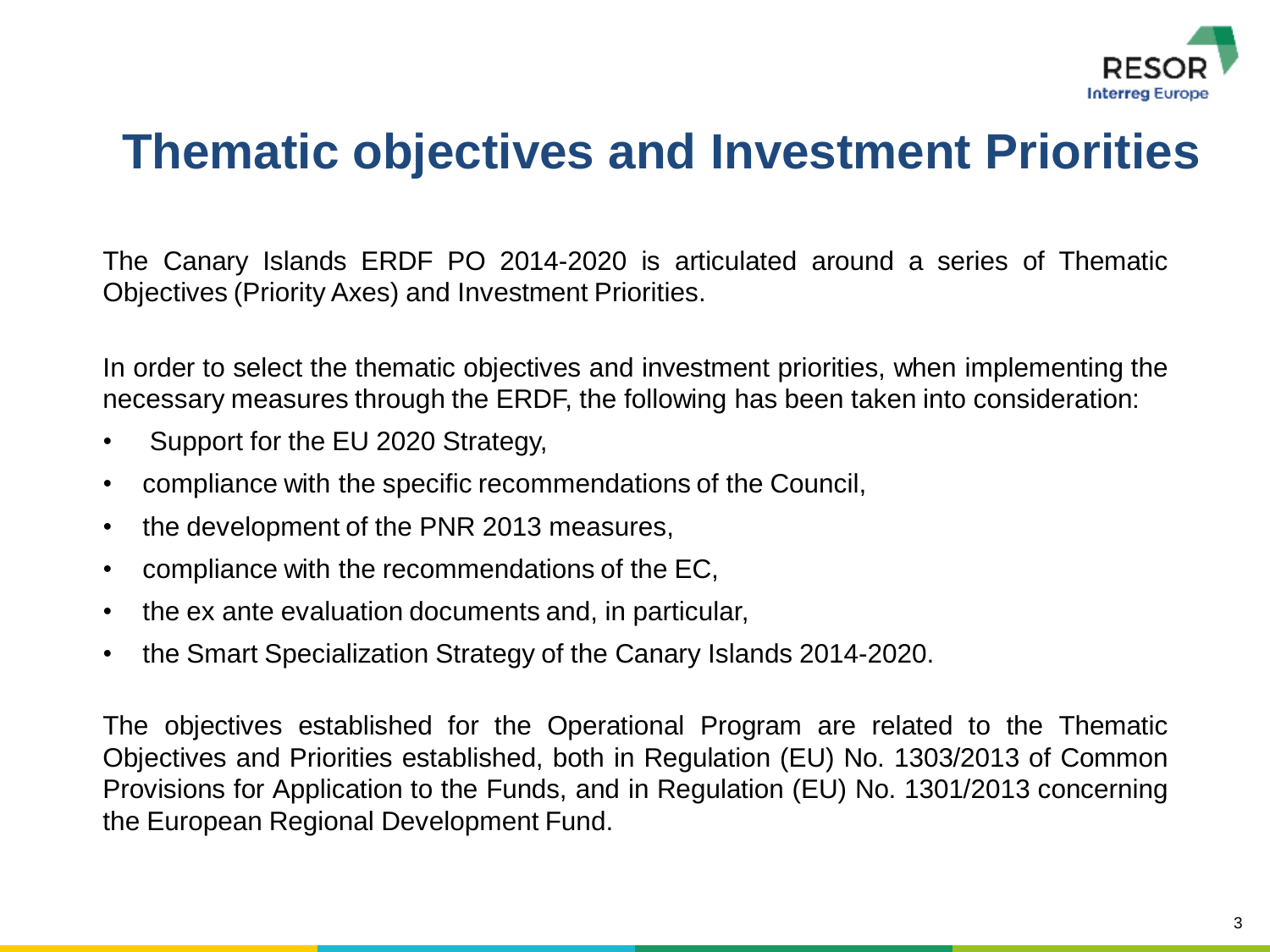

### **Thematic objectives and Investment Priorities**

The Canary Islands ERDF PO 2014-2020 is articulated around a series of Thematic Objectives (Priority Axes) and Investment Priorities.

In order to select the thematic objectives and investment priorities, when implementing the necessary measures through the ERDF, the following has been taken into consideration:

- Support for the EU 2020 Strategy,
- compliance with the specific recommendations of the Council,
- the development of the PNR 2013 measures,
- compliance with the recommendations of the EC,
- the ex ante evaluation documents and, in particular,
- the Smart Specialization Strategy of the Canary Islands 2014-2020.

The objectives established for the Operational Program are related to the Thematic Objectives and Priorities established, both in Regulation (EU) No. 1303/2013 of Common Provisions for Application to the Funds, and in Regulation (EU) No. 1301/2013 concerning the European Regional Development Fund.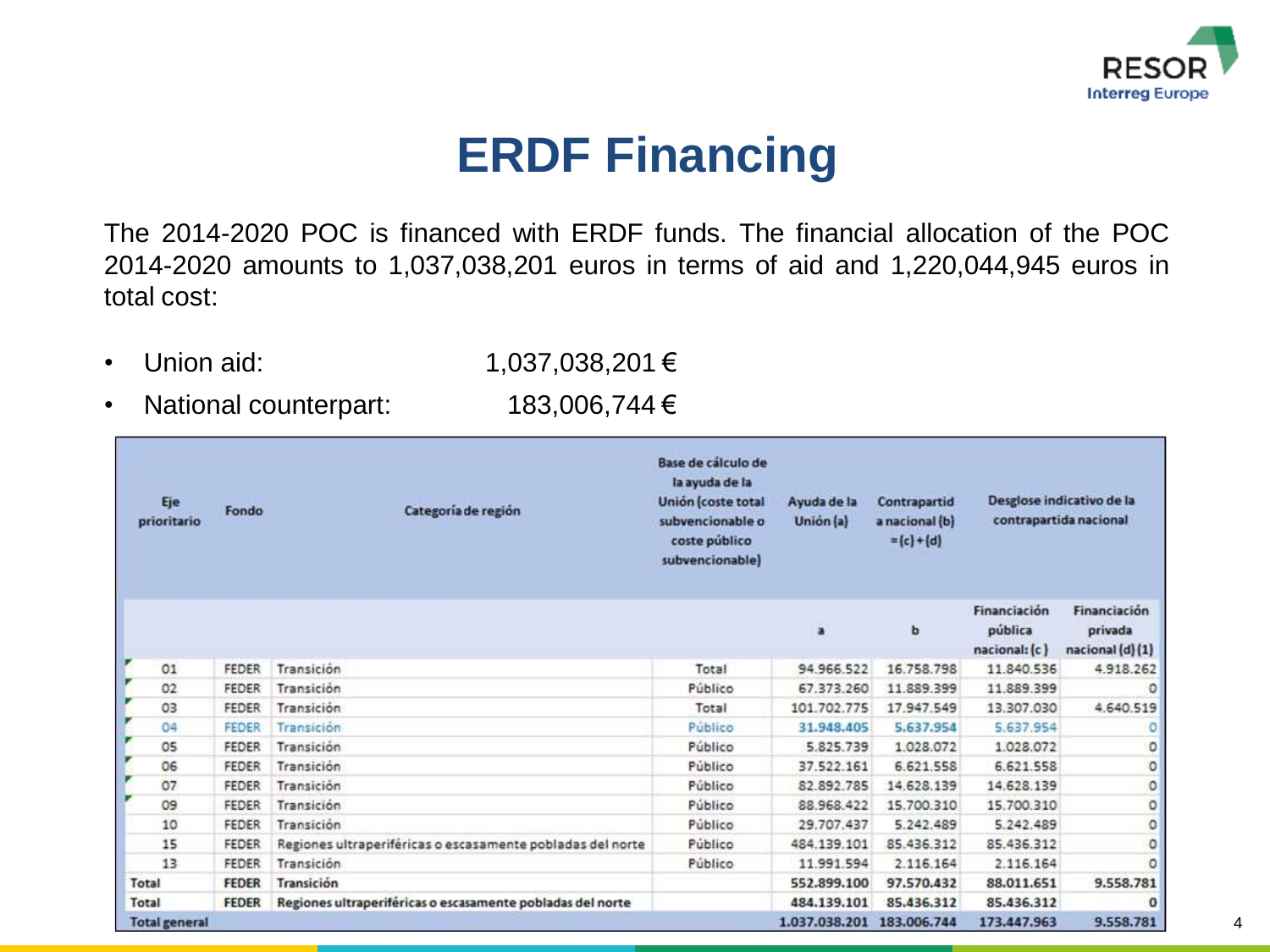

### **ERDF Financing**

The 2014-2020 POC is financed with ERDF funds. The financial allocation of the POC 2014-2020 amounts to 1,037,038,201 euros in terms of aid and 1,220,044,945 euros in total cost:

- 
- Union aid: 1,037,038,201 €
- National counterpart: 183,006,744 €

| Eje<br>prioritario   | Fondo        | Categoría de región                                        | Base de cálculo de<br>la ayuda de la<br>Unión (coste total<br>subvencionable o<br>coste público<br>subvencionable) | Ayuda de la<br>Unión (a) | Contrapartid<br>a nacional (b)<br>$= (c) + (d)$ |                                          | Desglose indicativo de la<br>contrapartida nacional |
|----------------------|--------------|------------------------------------------------------------|--------------------------------------------------------------------------------------------------------------------|--------------------------|-------------------------------------------------|------------------------------------------|-----------------------------------------------------|
|                      |              |                                                            |                                                                                                                    | ä                        | b                                               | Financiación<br>pública<br>nacional: (c) | Financiación<br>privada<br>nacional (d) (1)         |
| r<br>O1              | <b>FEDER</b> | Transición                                                 | Total                                                                                                              | 94.966.522               | 16.758.798                                      | 11.840.536                               | 4.918.262                                           |
| O <sub>2</sub>       | <b>FEDER</b> | Transición                                                 | Público                                                                                                            | 67.373.260               | 11.889.399                                      | 11.889.399                               | o                                                   |
| v<br>03              | <b>FEDER</b> | Transición                                                 | Total                                                                                                              | 101.702.775              | 17.947.549                                      | 13.307.030                               | 4,640.519                                           |
| r<br>04              | <b>FEDER</b> | Transición                                                 | Público                                                                                                            | 31.948.405               | 5.637.954                                       | 5,637,954                                | ٥                                                   |
| r<br>O5              | <b>FEDER</b> | Transición                                                 | Público                                                                                                            | 5.825.739                | 1.028.072                                       | 1.028.072                                | ٥                                                   |
| ×<br>06              | <b>FEDER</b> | Transición                                                 | Público                                                                                                            | 37.522.161               | 6.621.558                                       | 6.621.558                                | $\circ$                                             |
| 07                   | FEDER        | Transición                                                 | Público                                                                                                            | 82.892.785               | 14.628.139                                      | 14.628.139                               | $\circ$                                             |
| 09                   | <b>FEDER</b> | Transición                                                 | Público                                                                                                            | 88.968.422               | 15,700,310                                      | 15,700,310                               | ٥                                                   |
| 10                   | <b>FEDER</b> | Transición                                                 | Público                                                                                                            | 29.707.437               | 5,242,489                                       | 5.242.489                                | ٥                                                   |
| 15                   | <b>FEDER</b> | Regiones ultraperiféricas o escasamente pobladas del norte | Público                                                                                                            | 484.139.101              | 85.436.312                                      | 85.436.312                               | ٥                                                   |
| 13                   | FEDER        | Transición                                                 | Público                                                                                                            | 11.991.594               | 2.116.164                                       | 2.116.164                                | $\circ$                                             |
| Total                | <b>FEDER</b> | Transición                                                 |                                                                                                                    | 552.899.100              | 97.570.432                                      | 88.011.651                               | 9.558.781                                           |
| Total                | <b>FEDER</b> | Regiones ultraperiféricas o escasamente pobladas del norte |                                                                                                                    | 484.139.101              | 85.436.312                                      | 85.436.312                               | $\mathbf 0$                                         |
| <b>Total general</b> |              |                                                            |                                                                                                                    | 1.037.038.201            | 183.006.744                                     | 173.447.963                              | 9.558.781                                           |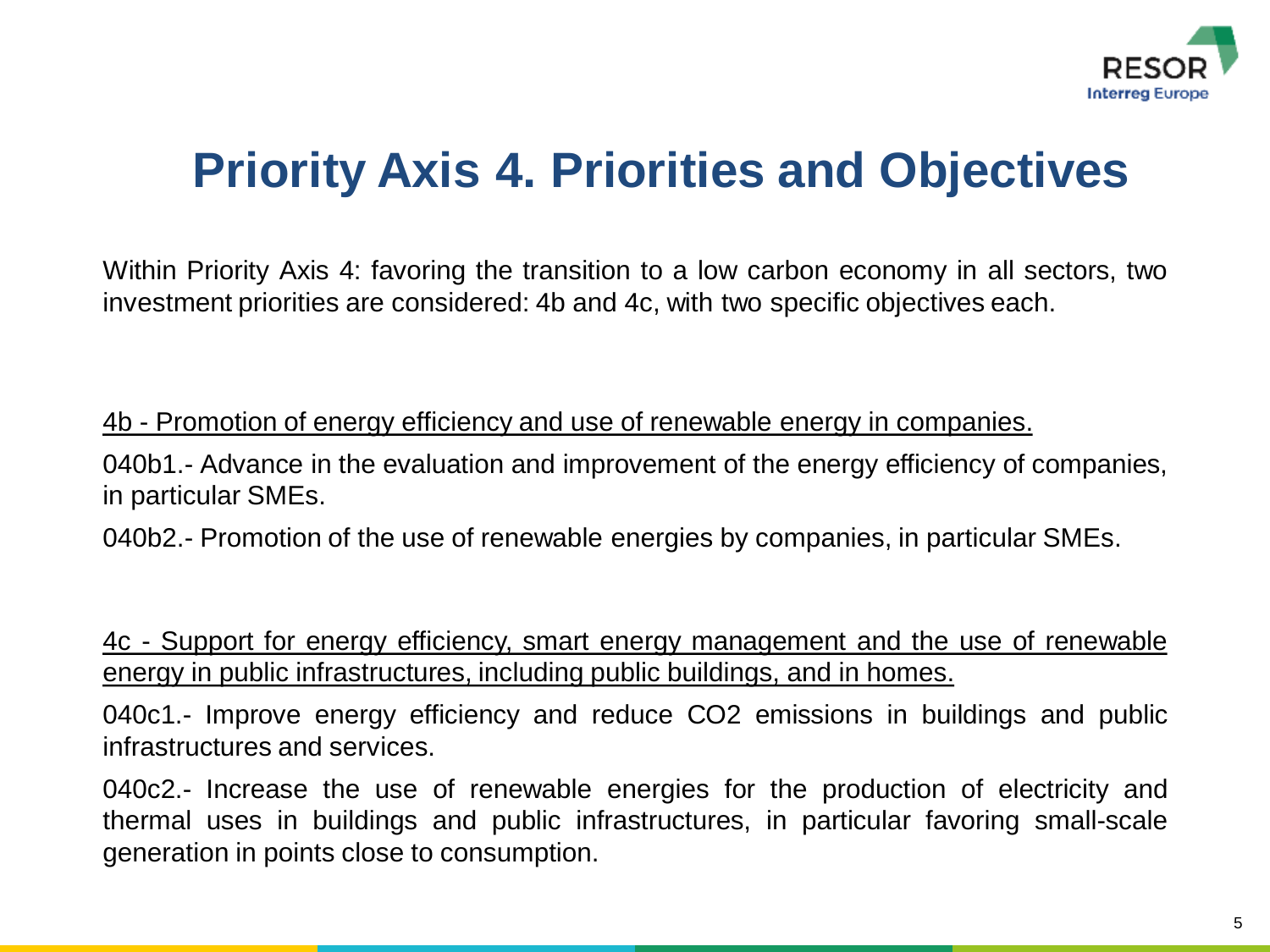

# **Priority Axis 4. Priorities and Objectives**

Within Priority Axis 4: favoring the transition to a low carbon economy in all sectors, two investment priorities are considered: 4b and 4c, with two specific objectives each.

4b - Promotion of energy efficiency and use of renewable energy in companies.

040b1.- Advance in the evaluation and improvement of the energy efficiency of companies, in particular SMEs.

040b2.- Promotion of the use of renewable energies by companies, in particular SMEs.

4c - Support for energy efficiency, smart energy management and the use of renewable energy in public infrastructures, including public buildings, and in homes.

040c1.- Improve energy efficiency and reduce CO2 emissions in buildings and public infrastructures and services.

040c2.- Increase the use of renewable energies for the production of electricity and thermal uses in buildings and public infrastructures, in particular favoring small-scale generation in points close to consumption.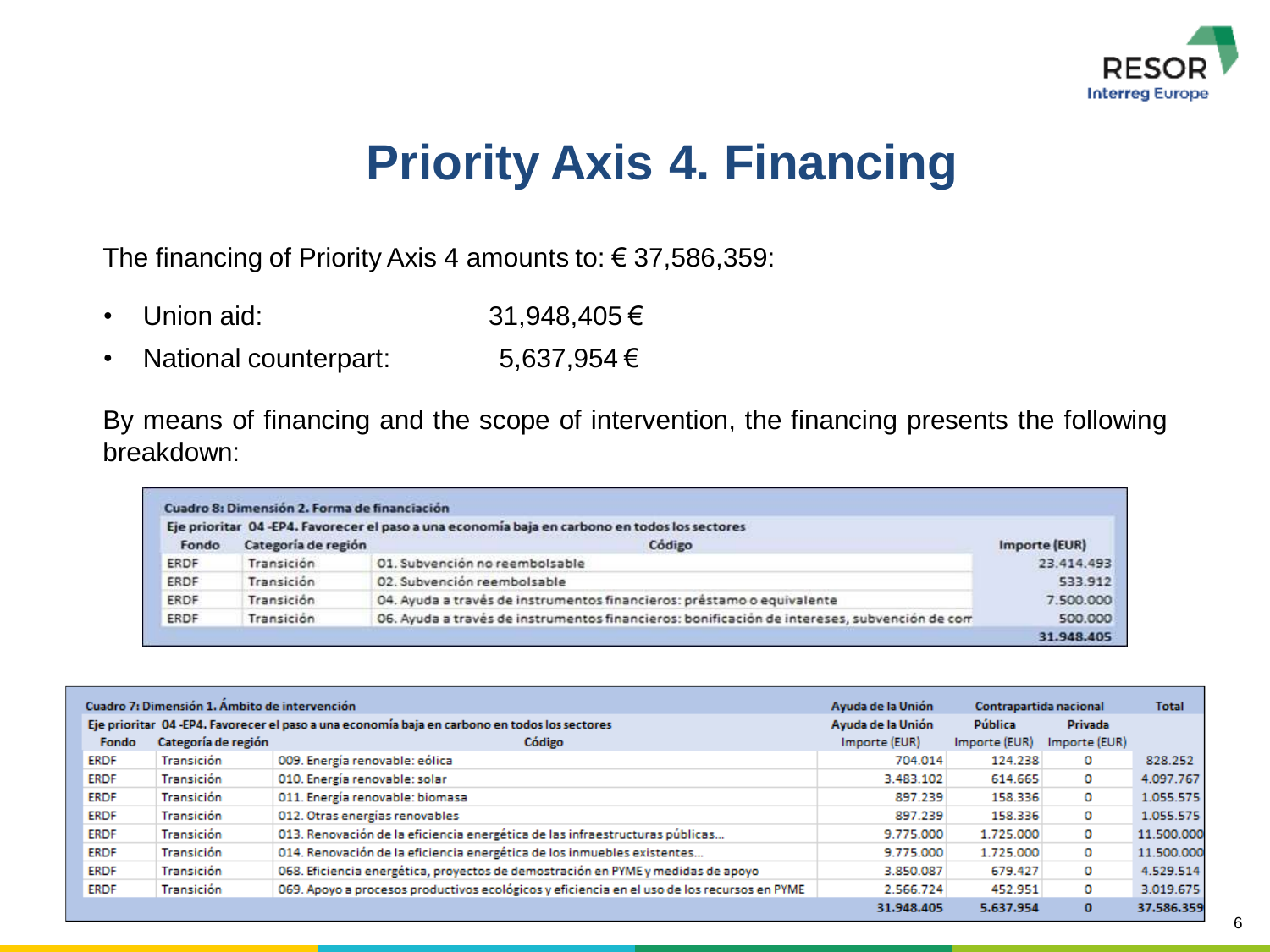

### **Priority Axis 4. Financing**

The financing of Priority Axis 4 amounts to: € 37,586,359:

- Union aid: 31,948,405 €
- National counterpart: 5,637,954 €

By means of financing and the scope of intervention, the financing presents the following breakdown:

|       |                     | Eje prioritar 04-EP4. Favorecer el paso a una economía baja en carbono en todos los sectores |               |
|-------|---------------------|----------------------------------------------------------------------------------------------|---------------|
| Fondo | Categoría de región | Código                                                                                       | Importe (EUR) |
| ERDF  | Transición          | 01. Subvención no reembolsable                                                               | 23.414.493    |
| ERDF  | Transición          | 02. Subvención reembolsable                                                                  | 533.912       |
| ERDF  | Transición          | 04. Ayuda a través de instrumentos financieros: préstamo o equivalente                       | 7,500,000     |
| ERDF  | Transición          | 06. Ayuda a través de instrumentos financieros: bonificación de intereses, subvención de com | 500,000       |
|       |                     |                                                                                              | 31.948.405    |

|             | Cuadro 7: Dimensión 1. Ámbito de intervención |                                                                                               | Ayuda de la Unión | Contrapartida nacional |                | <b>Total</b> |
|-------------|-----------------------------------------------|-----------------------------------------------------------------------------------------------|-------------------|------------------------|----------------|--------------|
|             |                                               | Eje prioritar 04 -EP4. Favorecer el paso a una economía baja en carbono en todos los sectores | Ayuda de la Unión | Pública                | <b>Privada</b> |              |
| Fondo       | Categoría de región                           | Código                                                                                        | Importe (EUR)     | Importe (EUR)          | Importe (EUR)  |              |
| ERDF        | Transición                                    | 009. Energía renovable: eólica                                                                | 704.014           | 124.238                | o              | 828.252      |
| <b>ERDF</b> | Transición                                    | 010. Energía renovable: solar                                                                 | 3.483.102         | 614.665                | 0              | 4.097.767    |
| <b>ERDF</b> | Transición                                    | 011. Energía renovable: biomasa                                                               | 897.239           | 158.336                | 0              | 1.055.575    |
| ERDF        | Transición                                    | 012. Otras energías renovables                                                                | 897.239           | 158.336                | o              | 1.055.575    |
| <b>ERDF</b> | Transición                                    | 013. Renovación de la eficiencia energética de las infraestructuras públicas                  | 9.775.000         | 1.725.000              | o              | 11.500.000   |
| <b>ERDF</b> | Transición                                    | 014. Renovación de la eficiencia energética de los inmuebles existentes                       | 9.775.000         | 1.725.000              | o              | 11.500.000   |
| <b>ERDF</b> | Transición                                    | 068. Eficiencia energética, proyectos de demostración en PYME y medidas de apoyo              | 3.850.087         | 679.427                | o              | 4.529.514    |
| ERDF        | Transición                                    | 069. Apoyo a procesos productivos ecológicos y eficiencia en el uso de los recursos en PYME   | 2.566.724         | 452.951                | o              | 3.019.675    |
|             |                                               |                                                                                               | 31.948.405        | 5.637.954              |                | 37.586.359   |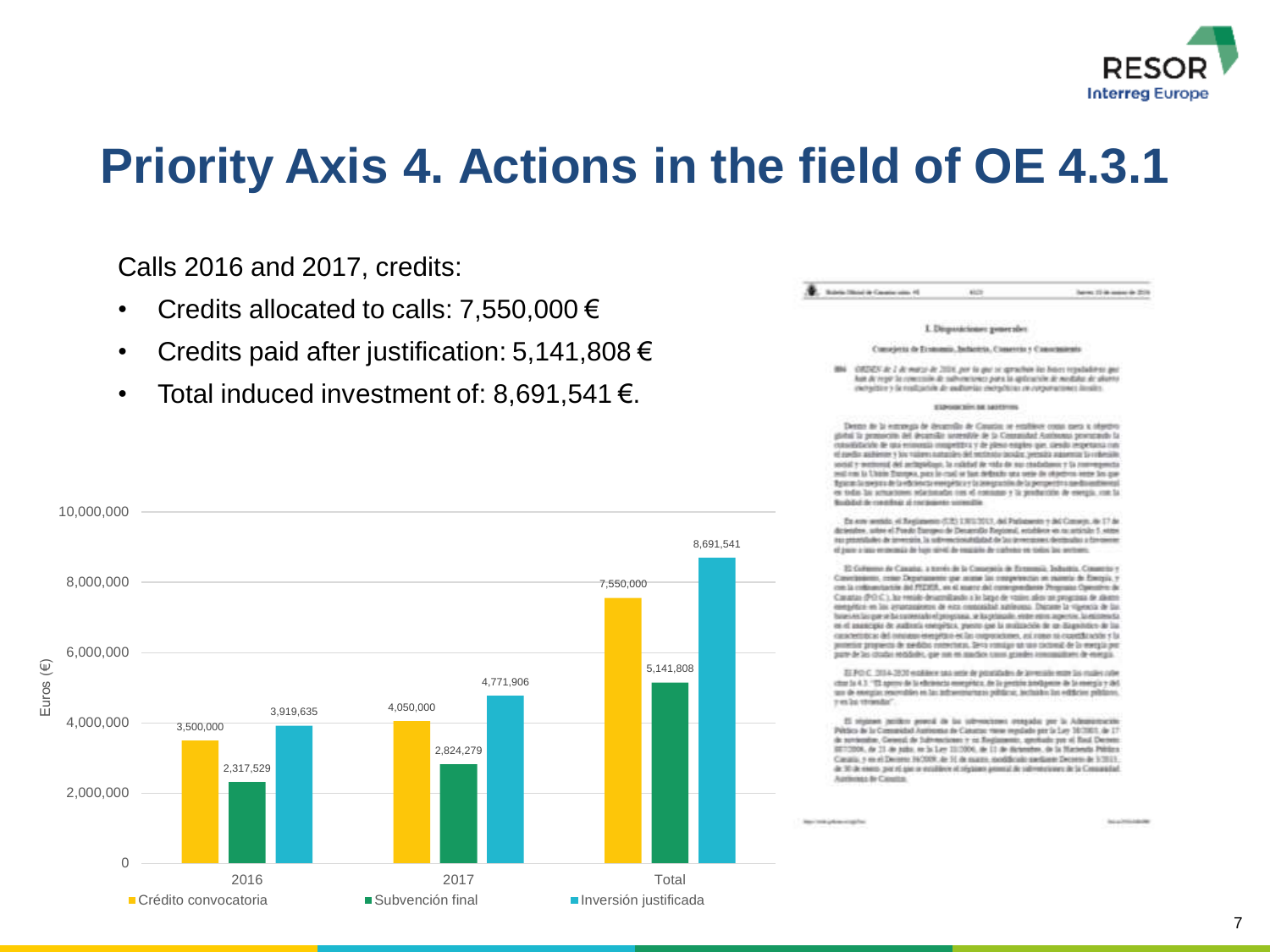

Calls 2016 and 2017, credits:

- Credits allocated to calls: 7,550,000  $\epsilon$
- Credits paid after justification: 5,141,808  $\epsilon$
- Total induced investment of: 8,691,541  $\epsilon$ .



### bens 10 in more in 2016

### I. Disposicione: penerales

### Consejetta de Economia, Bellettria, Consertiu y Conseitairente

894 OTCRES Jr. 2 Je marzo de 2004, por la gue se aprachan las bases republikoso que Aux Ar repr la concessión de subvociones para la aplicación de nostatas de aliante cionalize y la restrucció de audiorías mergéticas de conjunctiones desdes

Elevening at account

Dento de la estranga de decamilio de Casatio; se estálece cosas ques a résebr abitul to removem del decorribi scovolble de la Convenidad Australiana promotavia la cussibilizable de qua entrangúa mespetífica y de plasa emplos que, ciendo respetiena con of audio automory to values naturales del perinsic posite versità aggerera la colesia. said a welcome of the primarizant in related in value in our readybance of a convenience rest into to Union Standers, paint to coal or but definith and write the study on inter line gue. the party is a second to the first of the complete contribution of the complete that the distance of ex toda las amuntoses relationados cos el comuno y la producción de esergía, con la Rockstaf de constituir al continuirso somenitie

En ern senio el Regissero (CR) 13/12/21, del Patisseno y del Conego, de 17 de detentes, sites el Fondo Europeo de Decamble Reytonal, establece en no prómito 5 sense no promise a inventio. Is subvectioninistad to las inventions decisates a foresemof page a late entered a de bare single de englishe de carbona en todos las sections.

El Collisiono de Canadas, a terrés de la Conseguia de Economia, Industria, Conserto y Conveniences, como Departmente por ocean las compeñencia en maneira de Frencia, y con la collean tactée del PEDER, en el marce del contropondante Programa Opinistro de Canatas (PO C). No resido desarrollando a lo bayo de visios ales un programa de alestro emeradório en los proposibleiros de esta constabilida aplicousa. Dairante la via-escla de los base on the part of the current who of provening, with orders also enter aspective. In existence to no el asancaso de audienta esergética, paesto que la multiación de un diagostoleo de las canceringca: del nostere energético es las mayoricismes, así como ni cassidicación y la protective privates to de seedsby connections. Send complain sub successively by the mergial perpare de los citados recidades, que non en macion taxos grandes assomatives de energia.

ELFO C. 2014-2020 explorer solo antie de prostitutes de la resolve mare las mailes nobel char (a 4.3 °C), aprove de la edicionazia energética, de la gestión intelligence de la energía y dél. ter de energia: resovables en las infraestrumas públicas, incluídos las edificios públicos. 7 et la venniste"

If statest brides sented in he introprieses research per is Adentsmoving Périso de la Commidad Austressa de Canatas riene regulado por la Lay 10/2001, de 17 de sovientes. Ceixezi de Subventiones y ez Regissemis, genérale per el Real Dersen: 8070004, de 31 de julio, en la Lay 11/1004, de 11 de diciembre, de la Marienda Pédica. Caratta e un el Decenio 16/2008, de 14 de espres modificiale mediante Deceniu de VIII/II de 30 de essos por el que or estáblece el régiono general de submerciones de la Consoradad. Aprilemas de Ciositos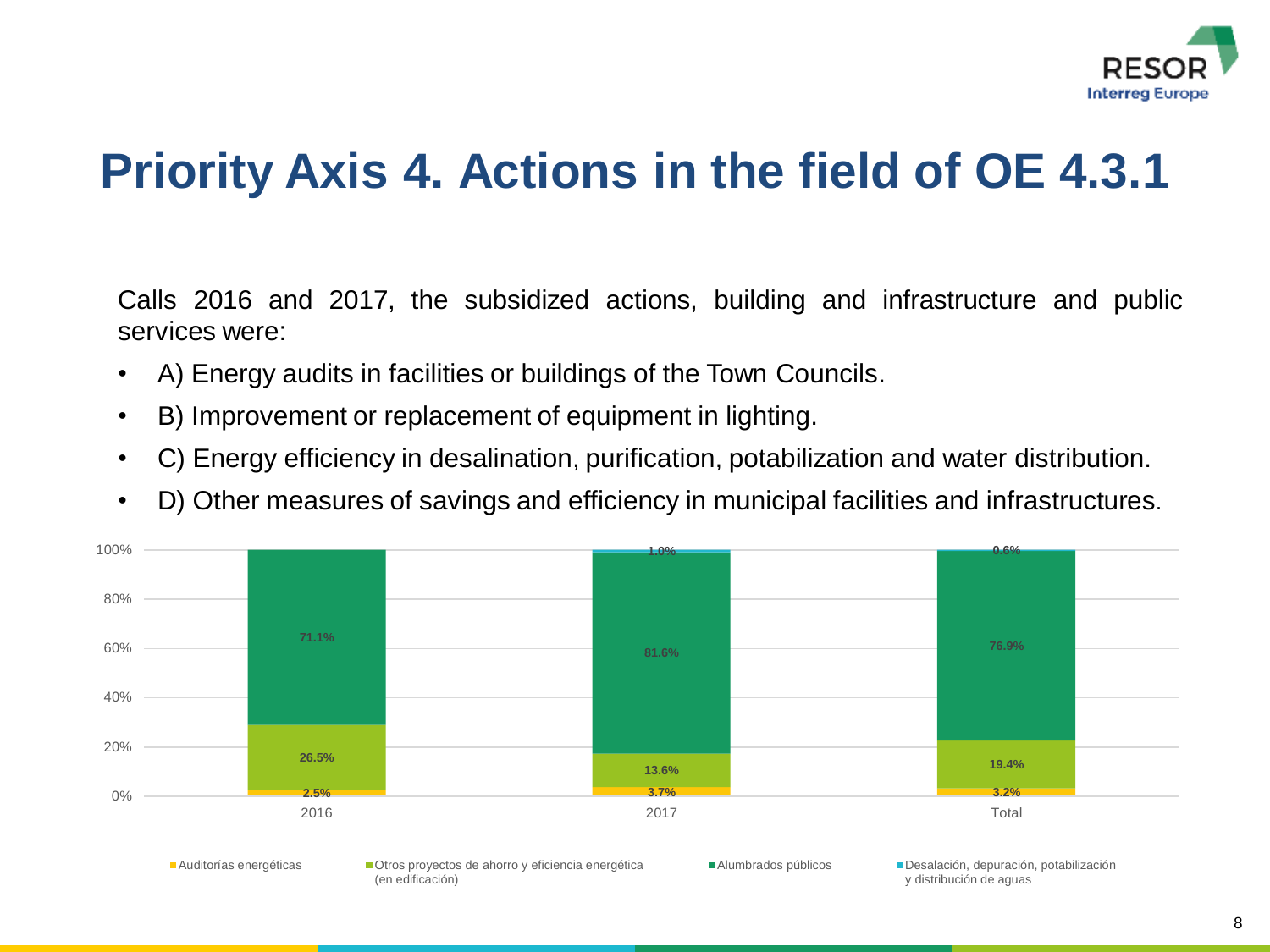

Calls 2016 and 2017, the subsidized actions, building and infrastructure and public services were:

- A) Energy audits in facilities or buildings of the Town Councils.
- B) Improvement or replacement of equipment in lighting.
- C) Energy efficiency in desalination, purification, potabilization and water distribution.
- D) Other measures of savings and efficiency in municipal facilities and infrastructures.

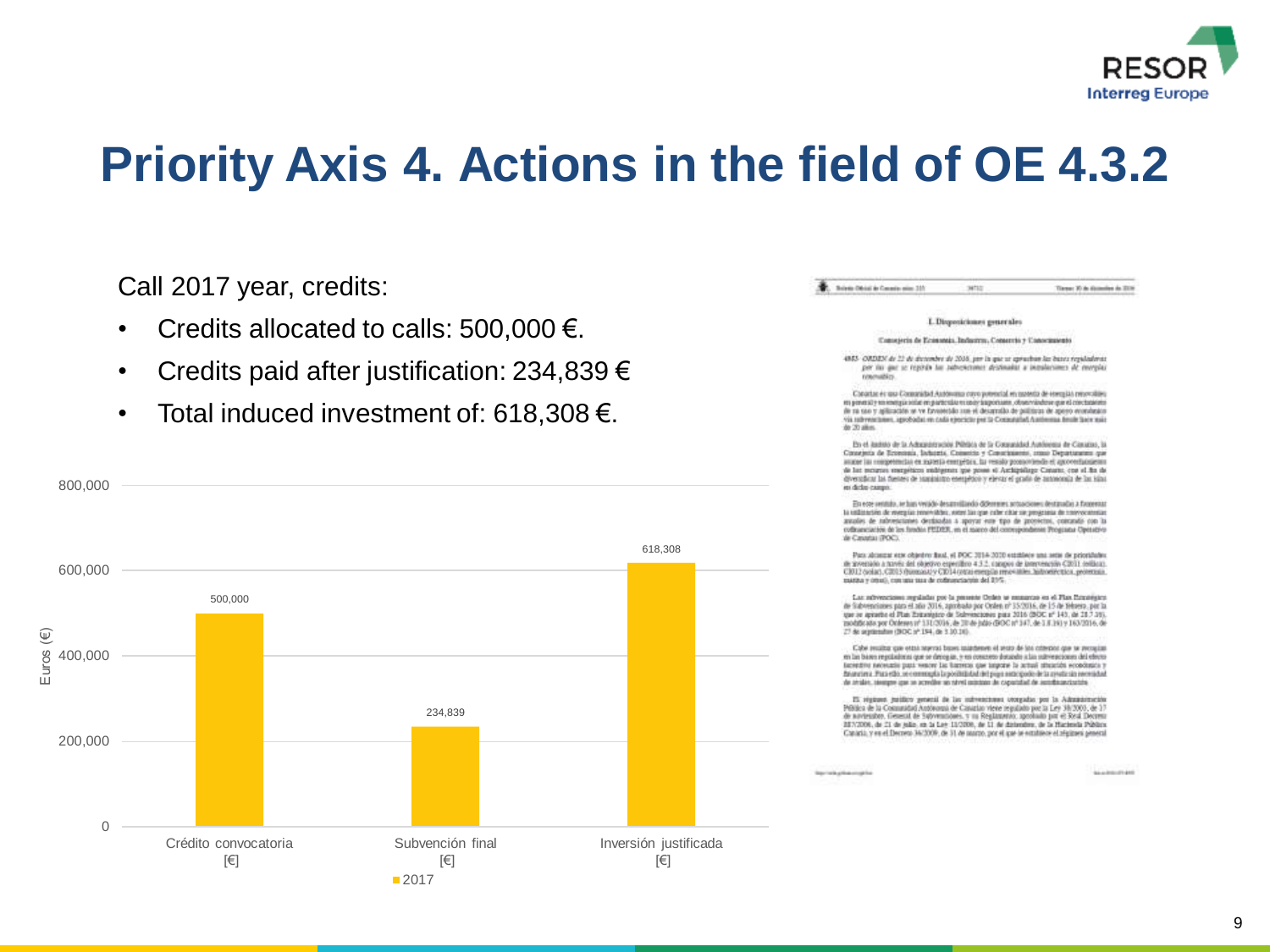

### Call 2017 year, credits:

- Credits allocated to calls: 500,000  $\epsilon$ .
- Credits paid after justification: 234,839  $\epsilon$
- Total induced investment of: 618,308 €.



. Bridge Dirts in County also 350 wis Tiene: 30 de dictesive de 2019

### L.Disposiciones generales

Consejeria de Economia, Industrya, Conservis y Conseguento.

4955 CADIDA de 22 de decembre de 2016, per la que un aproximar las bases reguladoras. per las que se repirán las autrencimes desimadas a intralaciones de morgias **COMPARING** 

Concertain et qua Consonidad Austronium corro prevental en quaesta de esemplas renovables en peneral y so soergia solie en particular en usay lasponiares, observandens que el concerne en de ra cao y asilización se ve Prostecido cosi el decorrollo de políticos de preso económico. Via referenciames, approbabat en cada ejeccicio per la Comunalist Austreaua desde lasce mais de 20 alies.

En el itadisto de la Administración Pólsica de la Comunidad Austreau de Casalino, la Consejerta de Economia, Sobornio, Comento y Consciounces, como Departamento que august las competencias en material energénica. En vesido proportiendo el apprenentaciones de las meuras sospéticos midigenes que posse el Archippilago Catario, con el fin de diversificar las fuentes de nuministro energético y elevar el grado de autonomía de las islas as debe como

En ette sentido, se han veräde desarrollando diferentes actuaciones destavados a fassentar to collinarian de voernigs renovables, earnel las one cabe citar sur presentesa de conceptancias anudes de rabvescianes decisadas a apoyar em tipo de propertos, comundo con la collinanciación de los fondos PEDER, en el marco del contespondente Programa Operativo Via Consultat (2002)

Para alcostar etx objetive fixal, el POC 3114-3010 estatives una astie de prioridade de governito a navia del objetivo especifico 4.3.2, capapo de intervención CBSII (editor).<br>CBSI2 (solar), CBSI3 (hiemana) y CBSI4 (estaj esemplas resoviativo historialente), protettuia. execute y creati), con una sua de codeanciacula del 21%.

Las subvections reguladas por la presente Orden se emparcos en el Plan Estrangaro de Subvenciones para el año 2016, aprobado por Orden o? 15/2016, de 15 de tébrero, por la que se apraeba el Plan Estrangaco de Solmencades para 2016 (BOC sº 143, de 18.7.19). modificationer Onteres of 131/2016, de 30 de info 600C of 147, de 3.8.161 y 163/2016, de 27 de argitendas (BOC aº 194, de 3.10.16).

Cabe recains: gas etni represi bases iniathenes el sezo de los criterios que se recogian en las bases regoladoras que se decogan, y en concreto dotable a las subvenciones del electo Secretive necessite pass wearer lie harrens que impone la actual strucción económica y Ananciara, Para etto, se communia la societata da del suo escrittorio de la conda sin permistad de avales, seeque que se scredire so nivel outstan de capacidad de sondissactantes

It regions justice promi in he subvectored otorpides per la Ademainsche Publica de la Comunitat Antónomia de Canatia: viene regulado por la Ley 30/2003 de 37 de noviembre. Cessent de Subvenitores, y su Regilmanno, apostado por el Real Decreto 207/2006, de 21 de mile, en la Lee 11/2006, de 11 de detenders, de la Hactenda Pública. Canadá, y en el Decreto 34/2009, de 31 de atorzo, por el que se establece el régimen penecal

**BALLASHING MARK**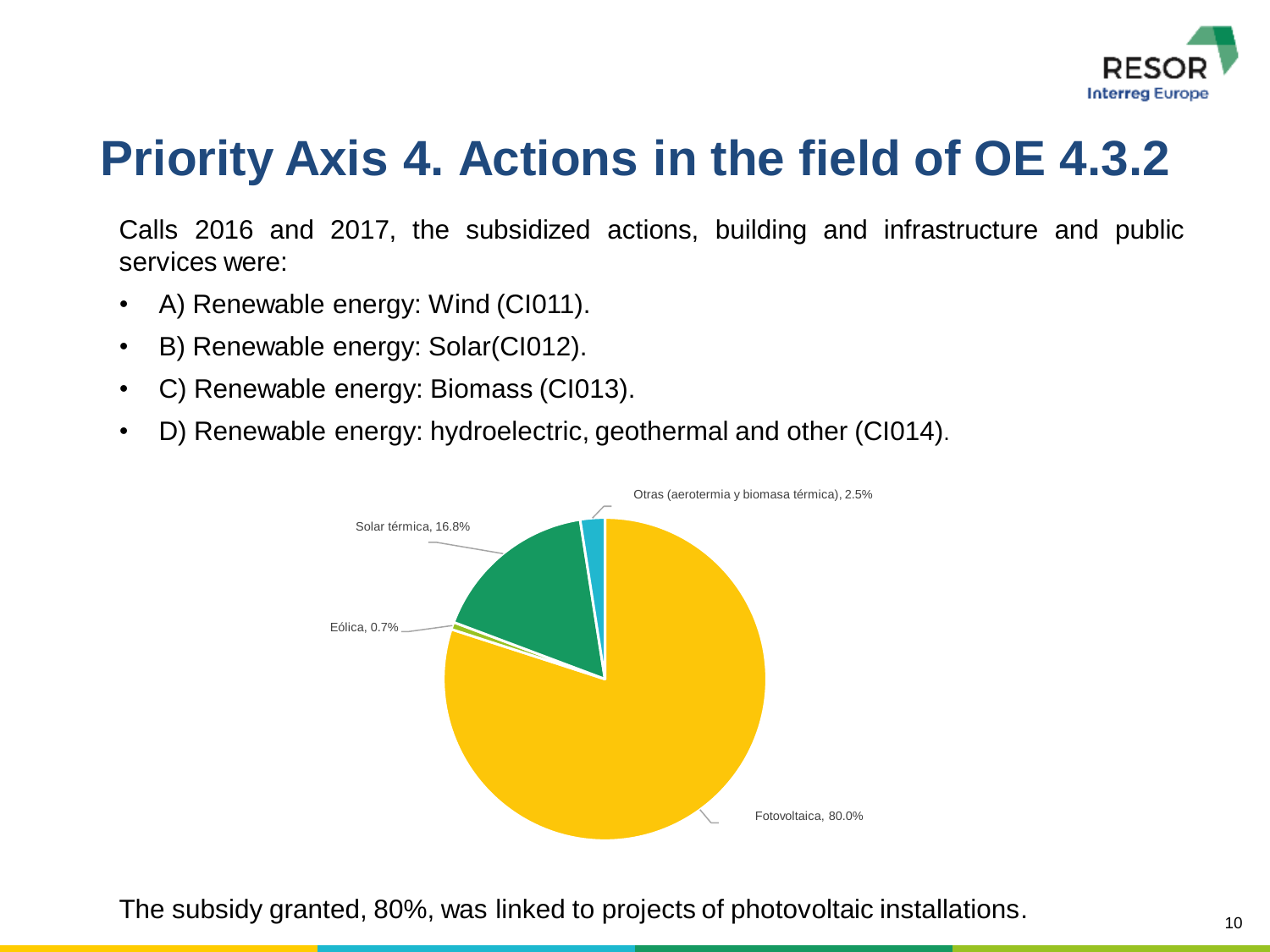

Calls 2016 and 2017, the subsidized actions, building and infrastructure and public services were:

- A) Renewable energy: Wind (CI011).
- B) Renewable energy: Solar(CI012).
- C) Renewable energy: Biomass (CI013).
- D) Renewable energy: hydroelectric, geothermal and other (CI014).



The subsidy granted, 80%, was linked to projects of photovoltaic installations.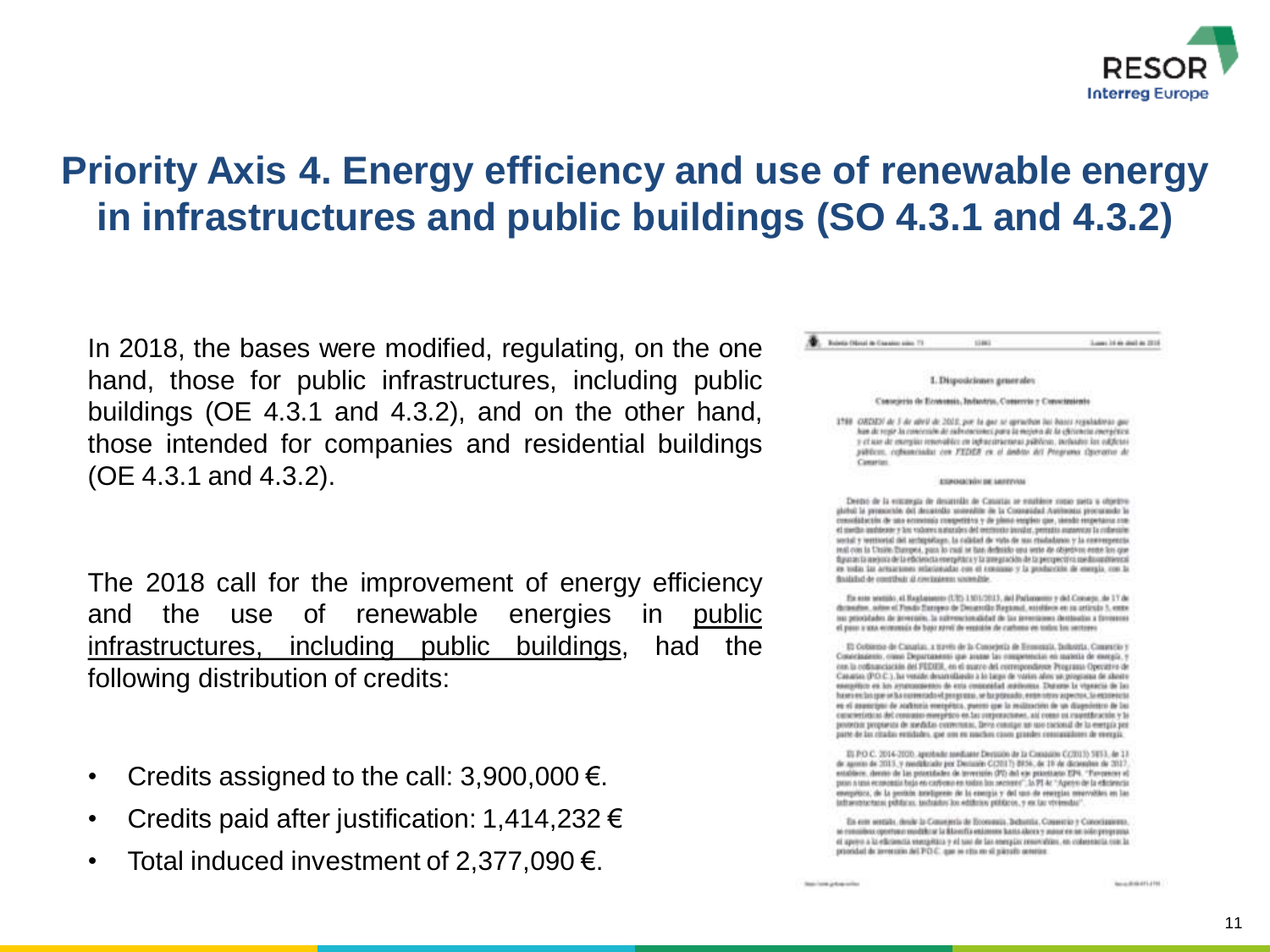

### **Priority Axis 4. Energy efficiency and use of renewable energy in infrastructures and public buildings (SO 4.3.1 and 4.3.2)**

In 2018, the bases were modified, regulating, on the one hand, those for public infrastructures, including public buildings (OE 4.3.1 and 4.3.2), and on the other hand, those intended for companies and residential buildings (OE 4.3.1 and 4.3.2).

The 2018 call for the improvement of energy efficiency and the use of renewable energies in public infrastructures, including public buildings, had the following distribution of credits:

- Credits assigned to the call:  $3,900,000 \in$ .
- Credits paid after justification: 1,414,232  $\epsilon$
- Total induced investment of 2,377,090 $\epsilon$ .

**Contract Clinical de Capaline points** 73 Lowe 14 to stal in 2018 **1386** 1. Disposiciones generales Consejerio de Economia, Industria, Comercia y Consciraiente 1988 ORDEN de 3 de abril de 2022, por la gaz se oprachas los bases repulsabras gaz han de regir la concesión de subsenciones para la misora de la specienza energética. y et use de exergia: renevables en infraestruenteas públicas, includes las edificias piliticos, columnista con FEDER en el leibto del Programa Operator de Constint ADDRESSED WAY OUT ANOTHERS Dento de la escanga de desimilio de Casatás se estábele insio seta a objetro ploted is presenter del decambio somethis de la Coonstidat Autonom procurado la consolidactiv. de una economía competitiva y de plana esopien que, siendo respetante nueet switte andriene y las volums is incoles del motivoto levolar, permite augustos la coloniale. social y intrinctal del ambipidago. Is calidad de vida de sus risidadunos y la convergencia real cost la Chaire Etuvona, pais lo isagi la ban definisto qua veste de objetivis entre los que the control and only of the efficiencies energy thru y la temperation de la percepectiva medicondition call es todas las artuaciones relacionadas con el consister y la producción de energía, con la finalished de constituir al constationns sconnable. En esta sentido, el Heghaussen (UE) 1301/2013, del Pathenesso y del Conveyo, de 17 de detendon, solon el Fondo flaropro de Decarrollo Regional, naisbleos en ou articulo 3, entre ou priotidades de prescuie, la subvencionalidad de las investaines destinatios a foronses el paso a una economía de bajo ravel de emisión de carbona en todos los sectores El Ootsense de Casarias, a través de la Consejería de Economia, Industria, Comercio y Сомедаденію, охио Дератавинні цью аналю Іан ониделивских на палініа de импуса, у con la collagaciación del FEDER, en el quatro del correspondiente Programa Operativo de Casarias (P.O.C.), ha veside desarrollando à le large de varier alors un programa de aborte exergétion en los avunquestes de esta consuellad autóvoras. Durante la viaxació de las have reclass por or his conversible of programs, we happins ado, enter retros aspectos. So expose only es el asuscipto de Auditoria energética, puesto que la reálización de un diagnóstico de las силейными действино понутно от далитровольны, ам соци их садемности у за protector propianza de anedados convertoras. Deiro consigui son uso cacional de lo exergía por parte de las ritudas emidades, que um en muchos cosos grandes consumidants de energía El P.O.C. 2014-2100. apribade modiante Dorazios de la Consaios C(2013) 5853, de 13

de agosto de 2013, y medificale por Decusión C(2017) 8956, de 19 de diciembro de 2017, establece, denno de las possidades de inversión (PC) del «je possidario EP4. "Forcencer el poso a una economia bajo en carlieno en todos los sectores", la PI 4c "Aperco de la eficiencia energetora, de la protein anteligenzo de la esergia y del uno de energias meanvaliles en las infraeronctars; publicar, inclusion los edificion públicos, y ex la: viviendas"

En est settilo, desk la Consejeria de Economia, Bebattia, Conservio y Canociaziono, as considers operture modification in Base for extensive hand above y most on an ade-programs. el apoyo a la eficiencia esergética y el suo de las energia: resurcities, en coleseracia con la provided de zeroturie del PO C. que se cha en si pierato actoriza:

State-Toront gets up seeks

**Module GATTLETS**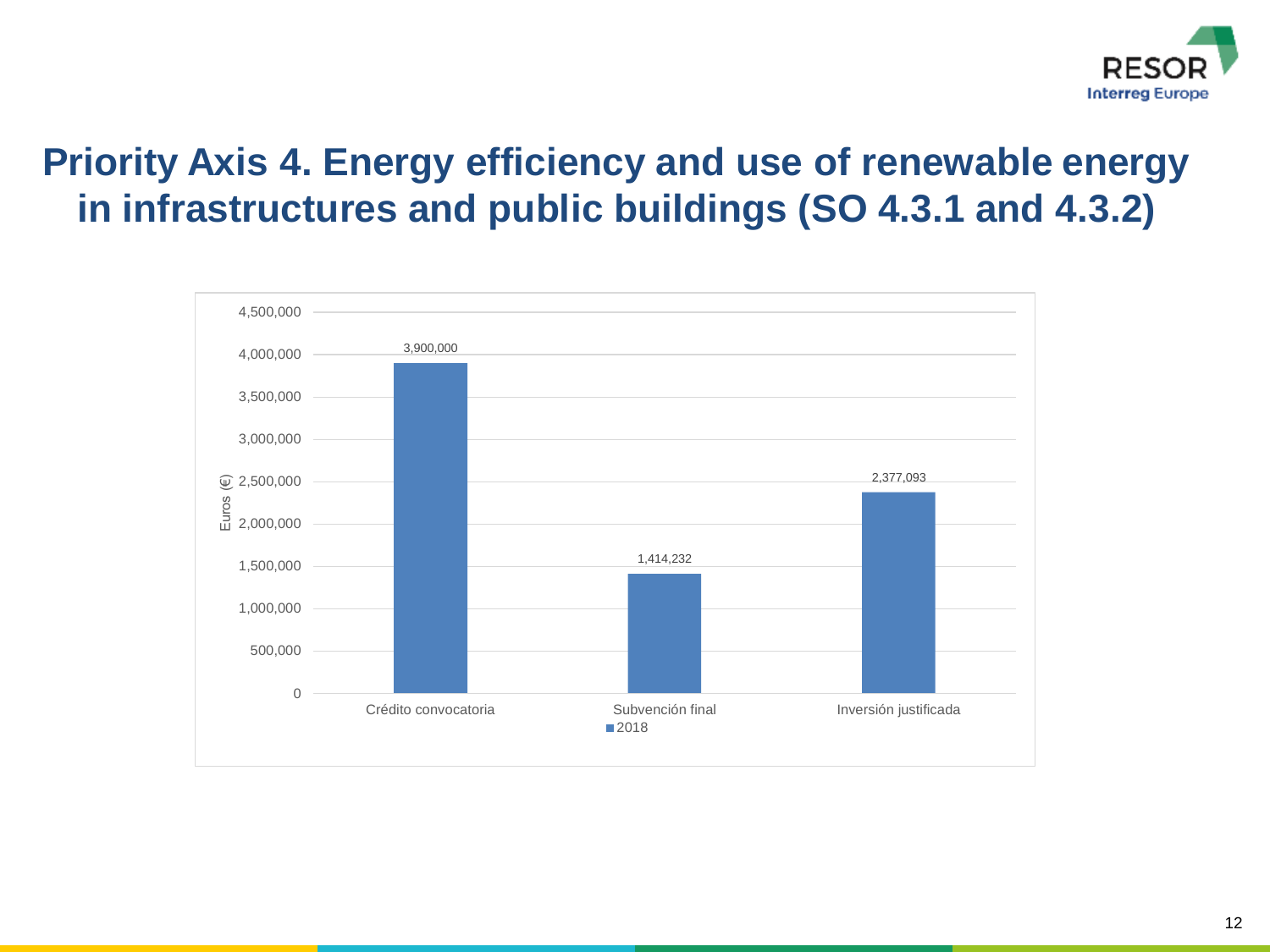

### **Priority Axis 4. Energy efficiency and use of renewable energy in infrastructures and public buildings (SO 4.3.1 and 4.3.2)**

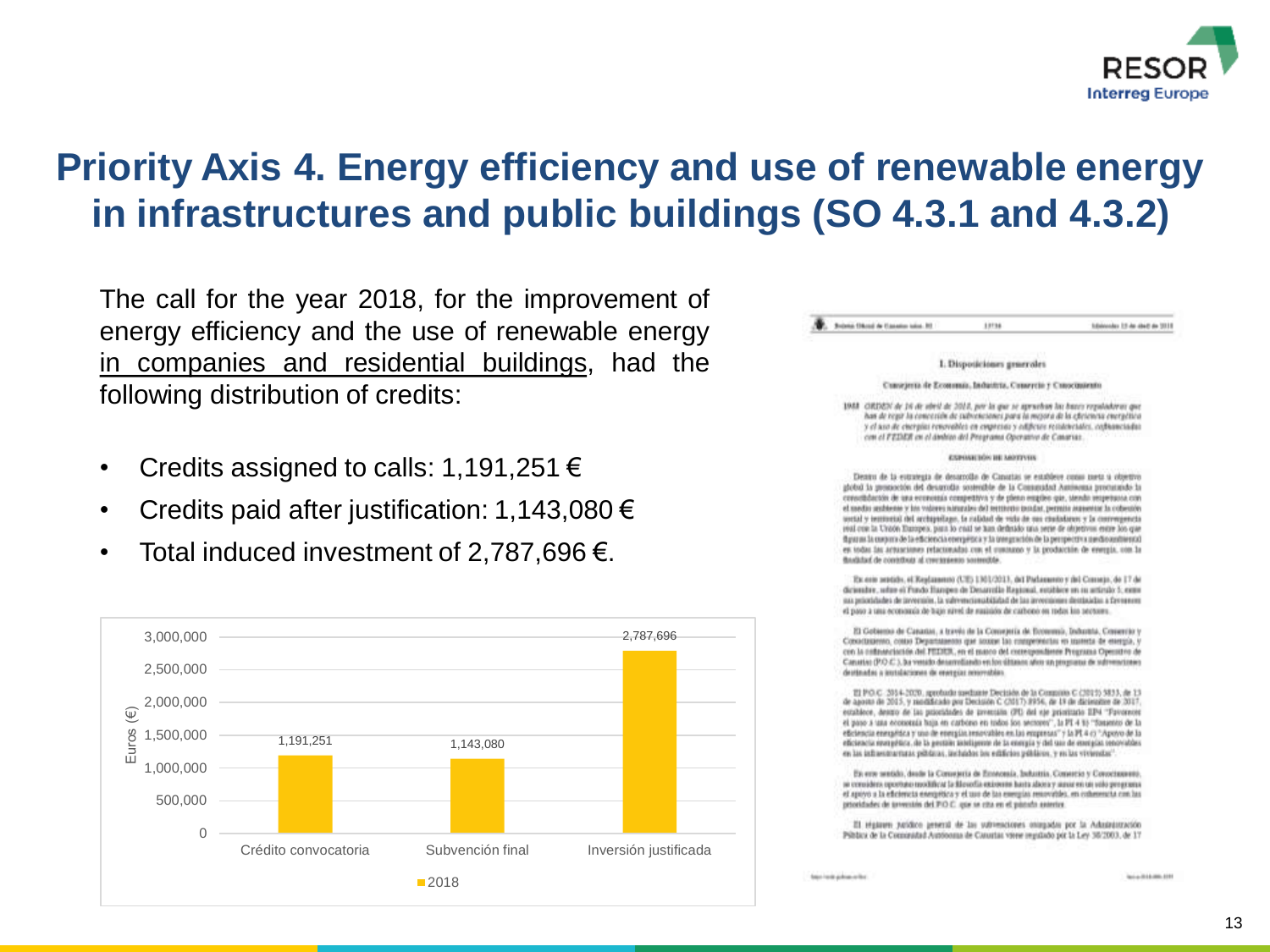

### **Priority Axis 4. Energy efficiency and use of renewable energy in infrastructures and public buildings (SO 4.3.1 and 4.3.2)**

The call for the year 2018, for the improvement of energy efficiency and the use of renewable energy in companies and residential buildings, had the following distribution of credits:

- Credits assigned to calls: 1,191,251 €
- Credits paid after justification: 1,143,080 €
- Total induced investment of 2,787,696  $\epsilon$ .



Submit Chicago de Cassalico Indian 80 **ARTIM** Schinneler 15 de deet de 2010

### I. Disposiciones generales

### Curaçieria de Economia, Industria, Consercio y Conocinatorio

1948 CIRISEN de 16 de abril de 2014, per la que se aprueban las bases reguladoras que has de regir la concesión de subsenciones para la mejora de la efetencia energética y el seo de energías renevables en empresas y edificies residenciales, cobametadas con el FEDER en el ámbien del Programa Operativo de Canarias.

### growing who are approving

Dennu de la estrategia de desarrollo de Canatas se establece consu meta a obsetivo global la prossección del desarrollo scotreible de la Consussitat Austraceaa procurando la consciidación de una economía competitiva y de plena explico que, stendo respetussa con el medio andresse y los volores náturales del territorio intular, permito aurontar la colomón untial y imminist del archipollago. La rabitad de vola de que ciudadanos y la convergencia soul con la Uraon Dampes, pant lo casi se han definido una serie de attietivos estre los que flavo as la corpora de la eficiencia energética y la trenguesión de la perspectiva suedio xustiento) es todas fas actuaciones relacionadas con el contumo y la producción de evergia, con la thoughtful de contribuir al crecimiento sometide.

Ex erro aratichi, el Reglamento (UE) 1301/2013, del Padamento y del Consejo, de 17 de diciembre, adus si Fundo Hangen de Desarrollo Regional, estáblice en su articulo 5, espenos prioridades de inversión, la subvencianzabilidad de las inversiones destinádas a favoreses el paso a una economía de bajo nivel de susisión de carbono en redas los sectores.

El Gebarno de Canatas, a través de la Consejería de Economía, Industria, Conentio y Соволзанию, соци Departments que захом las специоналах на щанна de емера, у con la coltamelación del PEDER, en el marco del correspondente Programa Operatro de Canatio: (P.O.C.), ha vessilo desarrollando en los últimos años un programa de sultemorizano destinadas a instalaciones de energías renovables.

TJ PO.C. 2014-2020, aprobatly toothate Decision de la Company C (2011) 5833, de 13 de agosto de 2015, y nasdificado por Decisión C (2017) 8954, de 19 de dicierative de 2017. establece, destro de las prioridades de inventale (PD del s)e prioritario EP4 "Favorecer el paso a una economía haja en carbono en todos los sectores", la PI 4 ti) "Sauento de la eficiencia energética y uno de energías resocubies en las empresas" y la PI 4 cs "Apovo de la eficiencia escretibilita, de la escriter inteligente de la energía y del que de energía, penoviables en las isthavisturnuss piblicas, incluidos los edificios públicos, y en las viviendas".

En erre sentido, deute la Consejeria de Emnossia, Industria, Convercio y Conociamento, se considera opportuno modificar la filosofia existente basta abora y sunse en un volo programa el apovo o la eficiencia energética y el uso de las esempias respondés; en coherenta con las prioridades de terrentós del PO C. que se cita en el pistofo anterire.

Il régistem patidico general de las subvenciones ontegados por la Administración Pública de la Comunidad Autónoma de Caturias viene impúlsão por la Ley 30/2003, de 17

feature interests and experience interests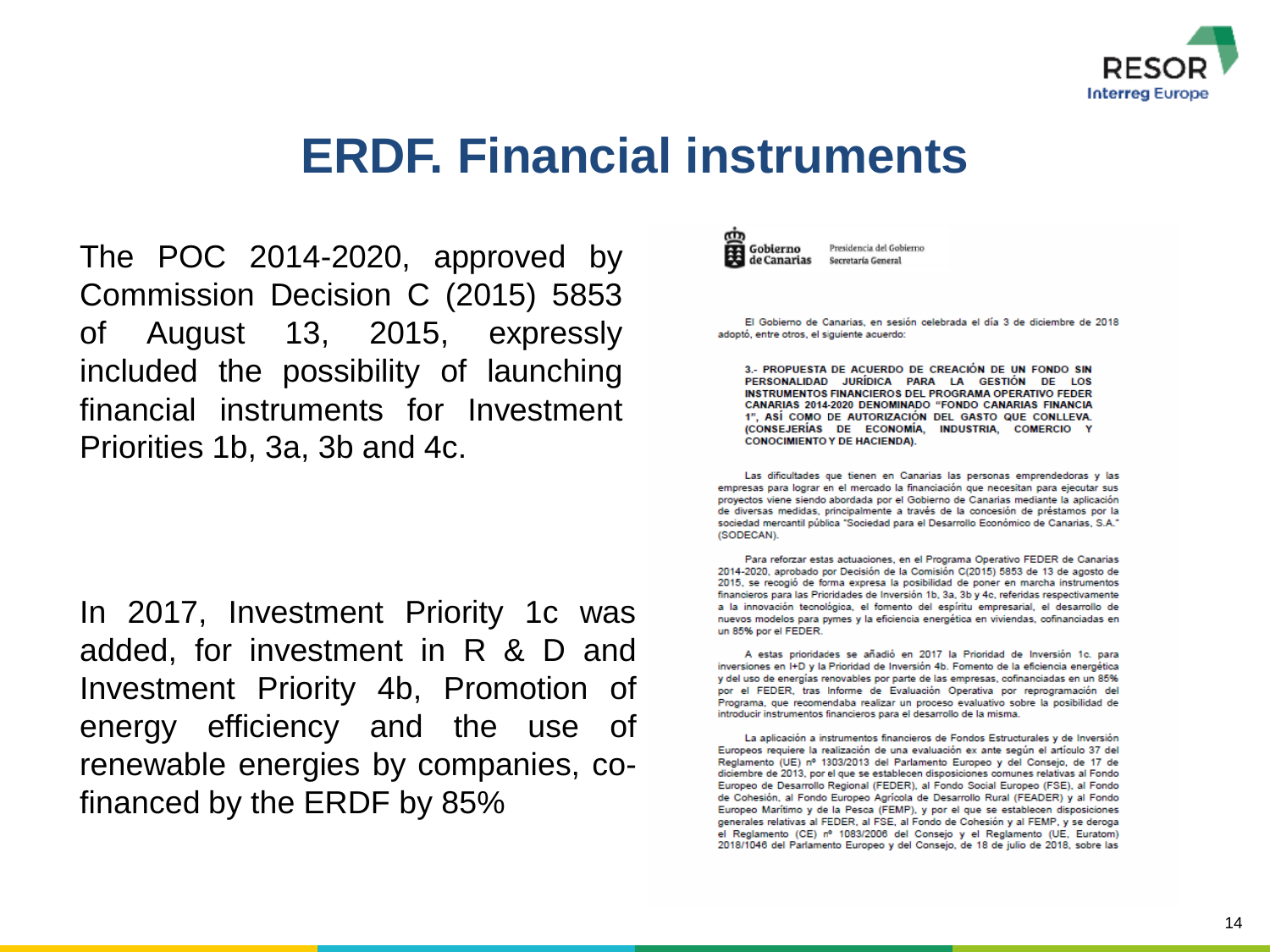

### **ERDF. Financial instruments**

The POC 2014-2020, approved by Commission Decision C (2015) 5853 of August 13, 2015, expressly included the possibility of launching financial instruments for Investment Priorities 1b, 3a, 3b and 4c.

In 2017, Investment Priority 1c was added, for investment in R & D and Investment Priority 4b, Promotion of energy efficiency and the use of renewable energies by companies, cofinanced by the ERDF by 85%



Presidencia del Gobierno Secretaría General

El Gobierno de Canarias, en sesión celebrada el día 3 de diciembre de 2018 adoptó, entre otros, el siguiente acuerdo:

3.- PROPUESTA DE ACUERDO DE CREACIÓN DE UN FONDO SIN PERSONALIDAD JURÍDICA PARA LA GESTIÓN DE LOS **INSTRUMENTOS FINANCIEROS DEL PROGRAMA OPERATIVO FEDER** CANARIAS 2014-2020 DENOMINADO "FONDO CANARIAS FINANCIA 1". ASÍ COMO DE AUTORIZACIÓN DEL GASTO QUE CONLLEVA. (CONSEJERÍAS DE ECONOMÍA, INDUSTRIA, COMERCIO Y **CONOCIMIENTO Y DE HACIENDA).** 

Las dificultades que tienen en Canarias las personas emprendedoras y las empresas para lograr en el mercado la financiación que necesitan para ejecutar sus proyectos viene siendo abordada por el Gobierno de Canarias mediante la aplicación de diversas medidas, principalmente a través de la concesión de préstamos por la sociedad mercantil pública "Sociedad para el Desarrollo Económico de Canarias, S.A." (SODECAN).

Para reforzar estas actuaciones, en el Programa Operativo FEDER de Canarias 2014-2020, aprobado por Decisión de la Comisión C(2015) 5853 de 13 de agosto de 2015, se recogió de forma expresa la posibilidad de poner en marcha instrumentos financieros para las Prioridades de Inversión 1b, 3a, 3b y 4c, referidas respectivamente a la innovación tecnológica, el fomento del espíritu empresarial, el desarrollo de nuevos modelos para pymes y la eficiencia energética en viviendas, cofinanciadas en un 85% por el FEDER.

A estas prioridades se añadió en 2017 la Prioridad de Inversión 1c. para inversiones en I+D y la Prioridad de Inversión 4b. Fomento de la eficiencia energética y del uso de energías renovables por parte de las empresas, cofinanciadas en un 85% por el FEDER, tras Informe de Evaluación Operativa por reprogramación del Programa, que recomendaba realizar un proceso evaluativo sobre la posibilidad de introducir instrumentos financieros para el desarrollo de la misma.

La aplicación a instrumentos financieros de Fondos Estructurales y de Inversión Europeos requiere la realización de una evaluación ex ante según el artículo 37 del Reglamento (UE) nº 1303/2013 del Parlamento Europeo y del Consejo, de 17 de diciembre de 2013, por el que se establecen disposiciones comunes relativas al Fondo Europeo de Desarrollo Regional (FEDER), al Fondo Social Europeo (FSE), al Fondo de Cohesión, al Fondo Europeo Agrícola de Desarrollo Rural (FEADER) y al Fondo Europeo Marítimo y de la Pesca (FEMP), y por el que se establecen disposiciones generales relativas al FEDER, al FSE, al Fondo de Cohesión y al FEMP, y se deroga el Reglamento (CE) nº 1083/2006 del Consejo y el Reglamento (UE, Euratom) 2018/1046 del Parlamento Europeo y del Consejo, de 18 de julio de 2018, sobre las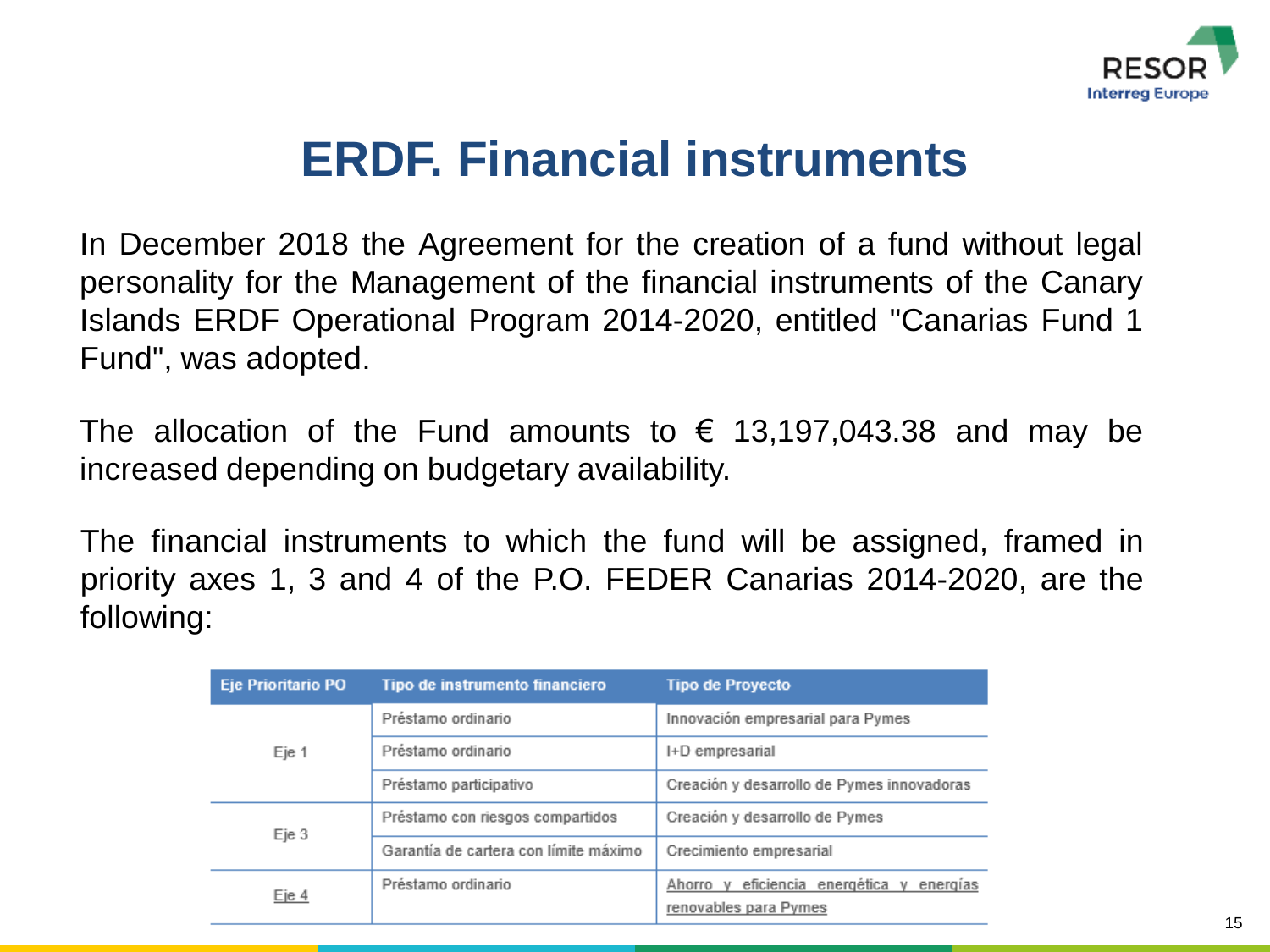

### **ERDF. Financial instruments**

In December 2018 the Agreement for the creation of a fund without legal personality for the Management of the financial instruments of the Canary Islands ERDF Operational Program 2014-2020, entitled "Canarias Fund 1 Fund", was adopted.

The allocation of the Fund amounts to  $\epsilon$  13,197,043.38 and may be increased depending on budgetary availability.

The financial instruments to which the fund will be assigned, framed in priority axes 1, 3 and 4 of the P.O. FEDER Canarias 2014-2020, are the following:

| <b>Eje Prioritario PO</b> | Tipo de instrumento financiero        | <b>Tipo de Proyecto</b>                                                  |
|---------------------------|---------------------------------------|--------------------------------------------------------------------------|
|                           | Préstamo ordinario                    | Innovación empresarial para Pymes                                        |
| Eje 1                     | Préstamo ordinario                    | I+D empresarial                                                          |
|                           | Préstamo participativo                | Creación y desarrollo de Pymes innovadoras                               |
|                           | Préstamo con riesgos compartidos      | Creación y desarrollo de Pymes                                           |
| Eje 3                     | Garantía de cartera con límite máximo | Crecimiento empresarial                                                  |
| Eje 4                     | Préstamo ordinario                    | eficiencia energética y<br>Ahorro v<br>energías<br>renovables para Pymes |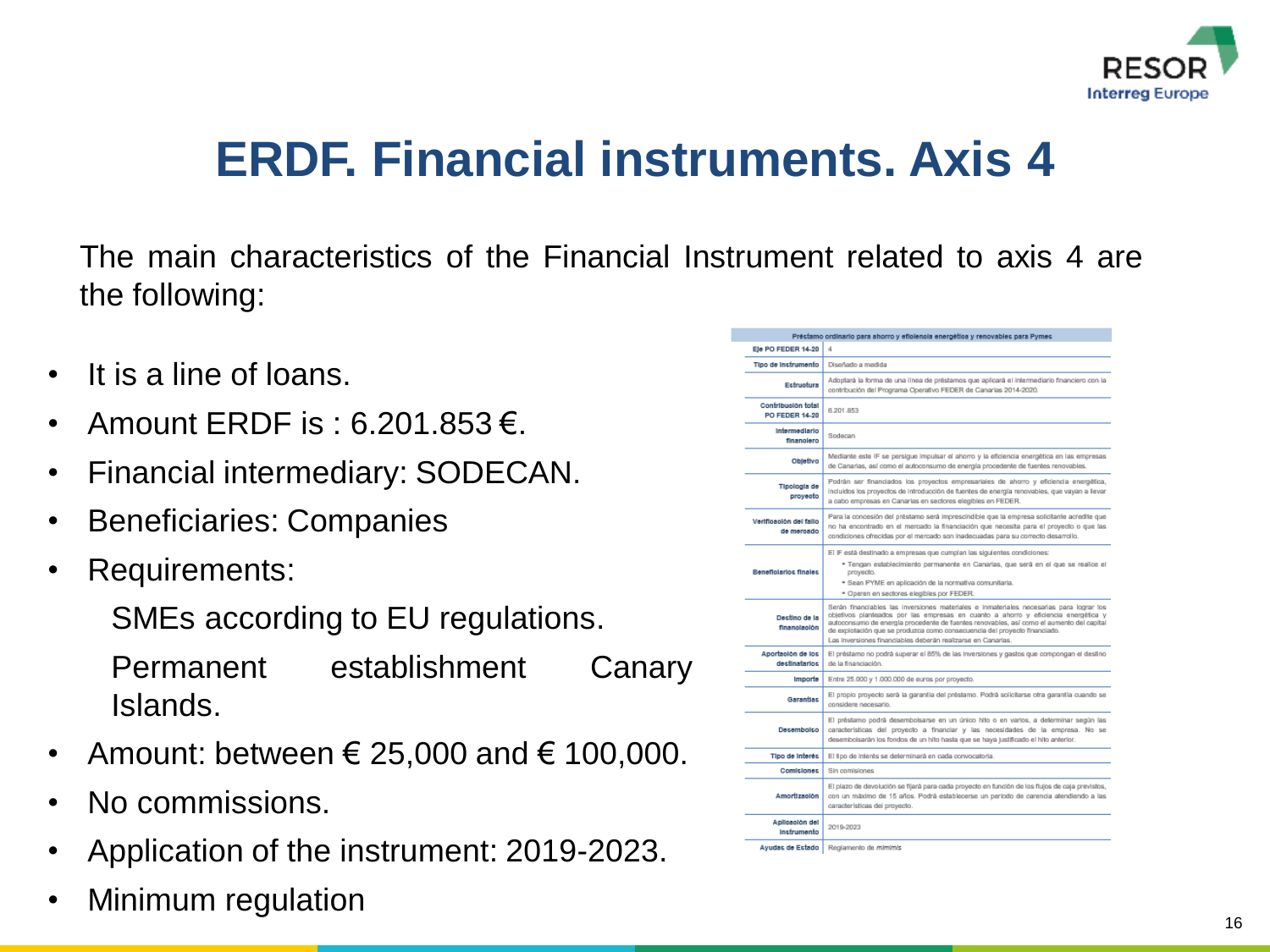

### **ERDF. Financial instruments. Axis 4**

The main characteristics of the Financial Instrument related to axis 4 are the following:

- It is a line of loans.
- Amount ERDF is : 6.201.853 €.
- Financial intermediary: SODECAN.
- Beneficiaries: Companies
- Requirements:

SMEs according to EU regulations.

Permanent establishment Canary Islands.

- Amount: between  $\epsilon$  25,000 and  $\epsilon$  100,000.
- No commissions.
- Application of the instrument: 2019-2023.
- Minimum regulation

|                                             | Préctamo ordinario para ahorro y eficiencia energética y renovablec para Pymec                                                                                                                                                                                                                                                                                                                                        |
|---------------------------------------------|-----------------------------------------------------------------------------------------------------------------------------------------------------------------------------------------------------------------------------------------------------------------------------------------------------------------------------------------------------------------------------------------------------------------------|
| Ele PO FEDER 14-20                          | 4                                                                                                                                                                                                                                                                                                                                                                                                                     |
| Tipo de instrumento                         | Diseñado a medida                                                                                                                                                                                                                                                                                                                                                                                                     |
| Estructura                                  | Adoptará la forma de una línea de préstamos que aplicará el intermediario financiero con la<br>contribución del Programa Operativo FEDER de Canarias 2014-2020.                                                                                                                                                                                                                                                       |
| Contribueión total<br><b>PO FEDER 14-20</b> | 6.201.853                                                                                                                                                                                                                                                                                                                                                                                                             |
| Intermediario<br>finanolero                 | Sodecan                                                                                                                                                                                                                                                                                                                                                                                                               |
| Objetivo                                    | Mediante este IF se persigue impulsar el ahorro y la eficiencia energética en las empresas<br>de Canarias, así como el autoconsumo de energía procedente de fuentes renovables.                                                                                                                                                                                                                                       |
| <b>Tipologia</b> de<br>proyecto             | Podrán ser financiados los proyectos empresariales de ahorro y eficiencia energética,<br>incluidos los proyectos de introducción de fuentes de energía renovables, que vayan a levar<br>a cabo empresas en Canarias en sectores elegibles en FEDER.                                                                                                                                                                   |
| Vertfloaolón del fallo<br>de mercado        | Para la concesión del préstamo será imprescindible que la empresa solicitante acredite que<br>no ha encontrado en el mercado la financiación que necesita para el proyecto o que las<br>condiciones ofrecidas por el mercado son inadecuadas para su correcto desarrollo.                                                                                                                                             |
| <b>Beneficiarios finales</b>                | El IF está destinado a empresas que cumplan las siguientes condiciones:<br>* Tengan establecimiento permanente en Canarias, que será en el que se realice el<br>proyecto.<br>· Sean PYME en aplicación de la normativa comunitaria.<br>· Operen en sectores elegibles por FEDER.                                                                                                                                      |
| Destino de la<br>financiación               | Serán financiables las inversiones materiales e inmateriales necesarias para lograr los<br>objetivos planteados por las empresas en cuanto a ahomo y eficiencia energética y<br>autoconsumo de energía procedente de fuentes renovables, así como el aumento del capital<br>de explotación que se produzca como consecuencia del proyecto financiado.<br>Las inversiones financiables deberán realizarse en Canarias. |
| Aportación de los<br>desfinatarios          | El préstamo no podrá superar el 85% de las inversiones y gastos que compongan el destino<br>de la financiación.                                                                                                                                                                                                                                                                                                       |
| Importe                                     | Entre 25.000 y 1.000.000 de euros por proyecto.                                                                                                                                                                                                                                                                                                                                                                       |
| Garantias                                   | El propio proyecto será la garantía del préstamo. Podrá solicitarse otra garantía cuando se<br>considere necesario.                                                                                                                                                                                                                                                                                                   |
| Decembolco                                  | El préstamo podrá desembolsarse en un único hito o en varios, a determinar según las<br>características del proyecto a financiar y las necesidades de la empresa. No se<br>desembolsanân los fondos de un hito hasta que se haya justificado el hito anterior.                                                                                                                                                        |
| Tipo de Interés                             | El tipo de intents se determinará en cada convocatoria.                                                                                                                                                                                                                                                                                                                                                               |
| Comiciones                                  | Sin comisiones                                                                                                                                                                                                                                                                                                                                                                                                        |
| Amortización                                | El plazo de devolución se fijará para cada proyecto en función de los flujos de caja previstos,<br>con un máximo de 15 años. Podrá establecerse un periodo de carencia atendiendo a las<br>características del provecto.                                                                                                                                                                                              |
| Aplicación del<br>Instrumento               | 2019-2023                                                                                                                                                                                                                                                                                                                                                                                                             |
| Avudas de Estado I                          | Regismento de miministr                                                                                                                                                                                                                                                                                                                                                                                               |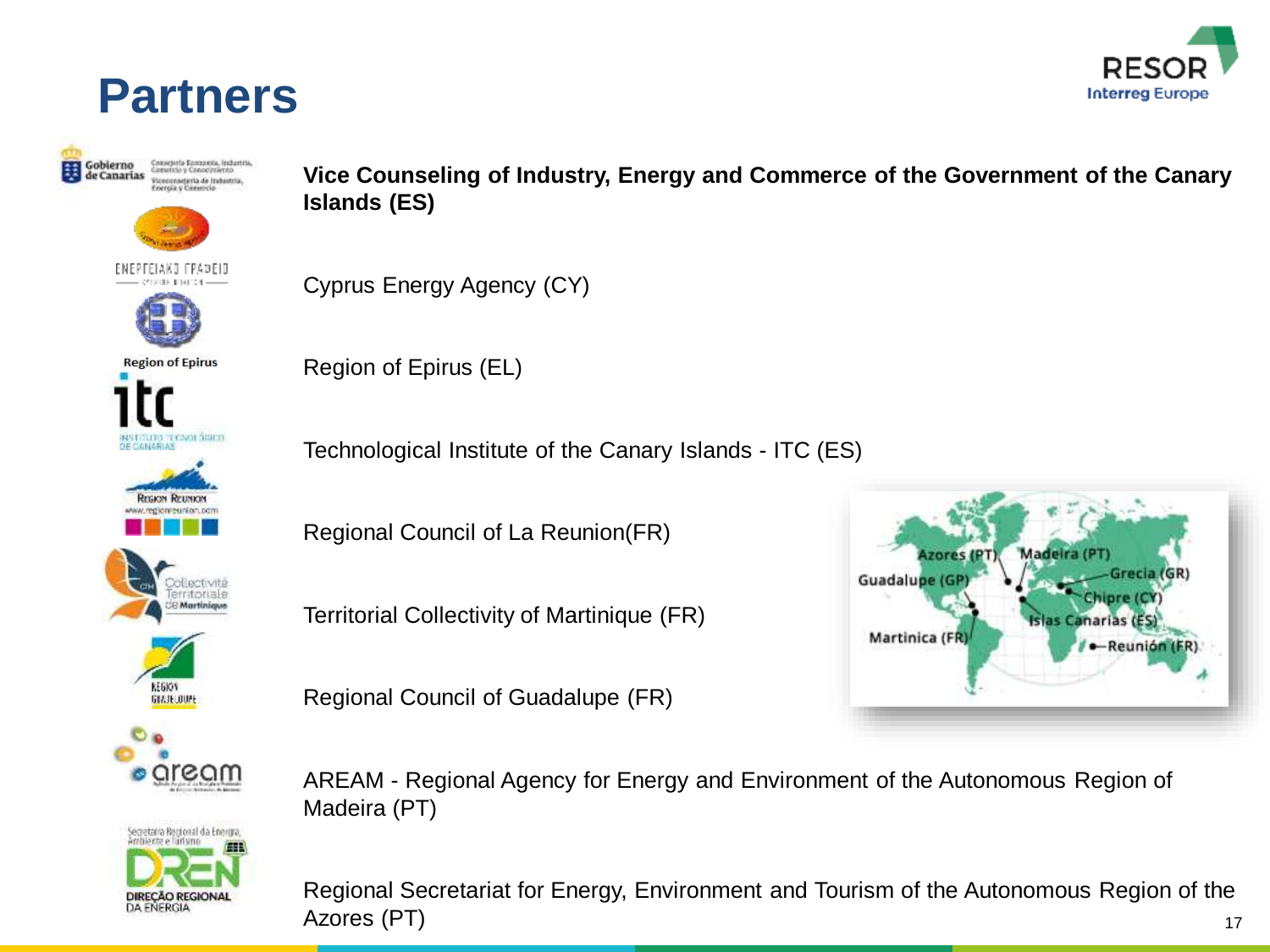

### **Partners**



**Vice Counseling of Industry, Energy and Commerce of the Government of the Canary Islands (ES)** 

Cyprus Energy Agency (CY)

Region of Epirus (EL)

Technological Institute of the Canary Islands - ITC (ES)

Regional Council of La Reunion(FR)

Territorial Collectivity of Martinique (FR)

Regional Council of Guadalupe (FR)



AREAM - Regional Agency for Energy and Environment of the Autonomous Region of Madeira (PT)

Regional Secretariat for Energy, Environment and Tourism of the Autonomous Region of the Azores (PT)